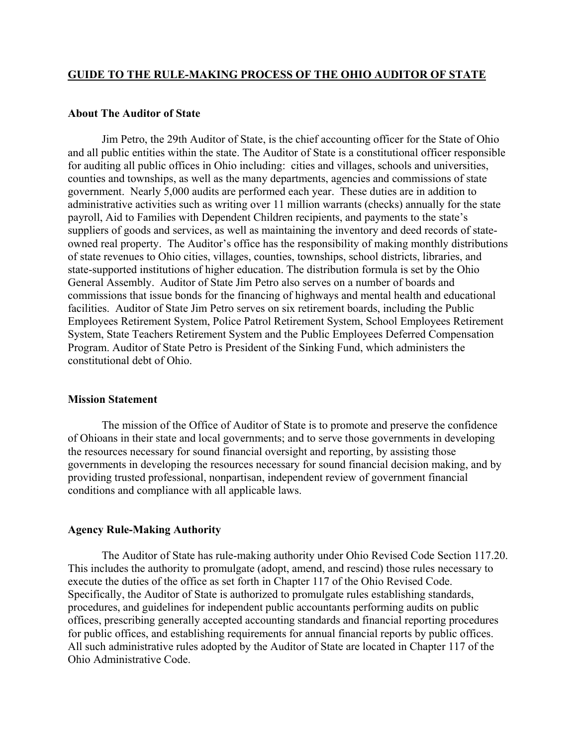### **GUIDE TO THE RULE-MAKING PROCESS OF THE OHIO AUDITOR OF STATE**

#### **About The Auditor of State**

Jim Petro, the 29th Auditor of State, is the chief accounting officer for the State of Ohio and all public entities within the state. The Auditor of State is a constitutional officer responsible for auditing all public offices in Ohio including: cities and villages, schools and universities, counties and townships, as well as the many departments, agencies and commissions of state government. Nearly 5,000 audits are performed each year. These duties are in addition to administrative activities such as writing over 11 million warrants (checks) annually for the state payroll, Aid to Families with Dependent Children recipients, and payments to the state's suppliers of goods and services, as well as maintaining the inventory and deed records of stateowned real property. The Auditor's office has the responsibility of making monthly distributions of state revenues to Ohio cities, villages, counties, townships, school districts, libraries, and state-supported institutions of higher education. The distribution formula is set by the Ohio General Assembly. Auditor of State Jim Petro also serves on a number of boards and commissions that issue bonds for the financing of highways and mental health and educational facilities. Auditor of State Jim Petro serves on six retirement boards, including the Public Employees Retirement System, Police Patrol Retirement System, School Employees Retirement System, State Teachers Retirement System and the Public Employees Deferred Compensation Program. Auditor of State Petro is President of the Sinking Fund, which administers the constitutional debt of Ohio.

## **Mission Statement**

The mission of the Office of Auditor of State is to promote and preserve the confidence of Ohioans in their state and local governments; and to serve those governments in developing the resources necessary for sound financial oversight and reporting, by assisting those governments in developing the resources necessary for sound financial decision making, and by providing trusted professional, nonpartisan, independent review of government financial conditions and compliance with all applicable laws.

#### **Agency Rule-Making Authority**

The Auditor of State has rule-making authority under Ohio Revised Code Section 117.20. This includes the authority to promulgate (adopt, amend, and rescind) those rules necessary to execute the duties of the office as set forth in Chapter 117 of the Ohio Revised Code. Specifically, the Auditor of State is authorized to promulgate rules establishing standards, procedures, and guidelines for independent public accountants performing audits on public offices, prescribing generally accepted accounting standards and financial reporting procedures for public offices, and establishing requirements for annual financial reports by public offices. All such administrative rules adopted by the Auditor of State are located in Chapter 117 of the Ohio Administrative Code.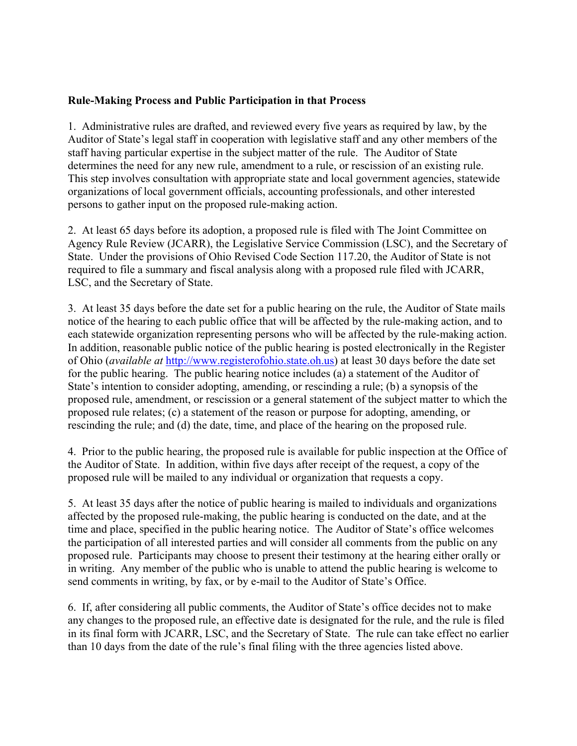# **Rule-Making Process and Public Participation in that Process**

1. Administrative rules are drafted, and reviewed every five years as required by law, by the Auditor of State's legal staff in cooperation with legislative staff and any other members of the staff having particular expertise in the subject matter of the rule. The Auditor of State determines the need for any new rule, amendment to a rule, or rescission of an existing rule. This step involves consultation with appropriate state and local government agencies, statewide organizations of local government officials, accounting professionals, and other interested persons to gather input on the proposed rule-making action.

2. At least 65 days before its adoption, a proposed rule is filed with The Joint Committee on Agency Rule Review (JCARR), the Legislative Service Commission (LSC), and the Secretary of State. Under the provisions of Ohio Revised Code Section 117.20, the Auditor of State is not required to file a summary and fiscal analysis along with a proposed rule filed with JCARR, LSC, and the Secretary of State.

3. At least 35 days before the date set for a public hearing on the rule, the Auditor of State mails notice of the hearing to each public office that will be affected by the rule-making action, and to each statewide organization representing persons who will be affected by the rule-making action. In addition, reasonable public notice of the public hearing is posted electronically in the Register of Ohio (*available at* [http://www.registerofohio.state.oh.us\)](http://www.registerofohio.state.oh.us/) at least 30 days before the date set for the public hearing. The public hearing notice includes (a) a statement of the Auditor of State's intention to consider adopting, amending, or rescinding a rule; (b) a synopsis of the proposed rule, amendment, or rescission or a general statement of the subject matter to which the proposed rule relates; (c) a statement of the reason or purpose for adopting, amending, or rescinding the rule; and (d) the date, time, and place of the hearing on the proposed rule.

4. Prior to the public hearing, the proposed rule is available for public inspection at the Office of the Auditor of State. In addition, within five days after receipt of the request, a copy of the proposed rule will be mailed to any individual or organization that requests a copy.

5. At least 35 days after the notice of public hearing is mailed to individuals and organizations affected by the proposed rule-making, the public hearing is conducted on the date, and at the time and place, specified in the public hearing notice. The Auditor of State's office welcomes the participation of all interested parties and will consider all comments from the public on any proposed rule. Participants may choose to present their testimony at the hearing either orally or in writing. Any member of the public who is unable to attend the public hearing is welcome to send comments in writing, by fax, or by e-mail to the Auditor of State's Office.

6. If, after considering all public comments, the Auditor of State's office decides not to make any changes to the proposed rule, an effective date is designated for the rule, and the rule is filed in its final form with JCARR, LSC, and the Secretary of State. The rule can take effect no earlier than 10 days from the date of the rule's final filing with the three agencies listed above.